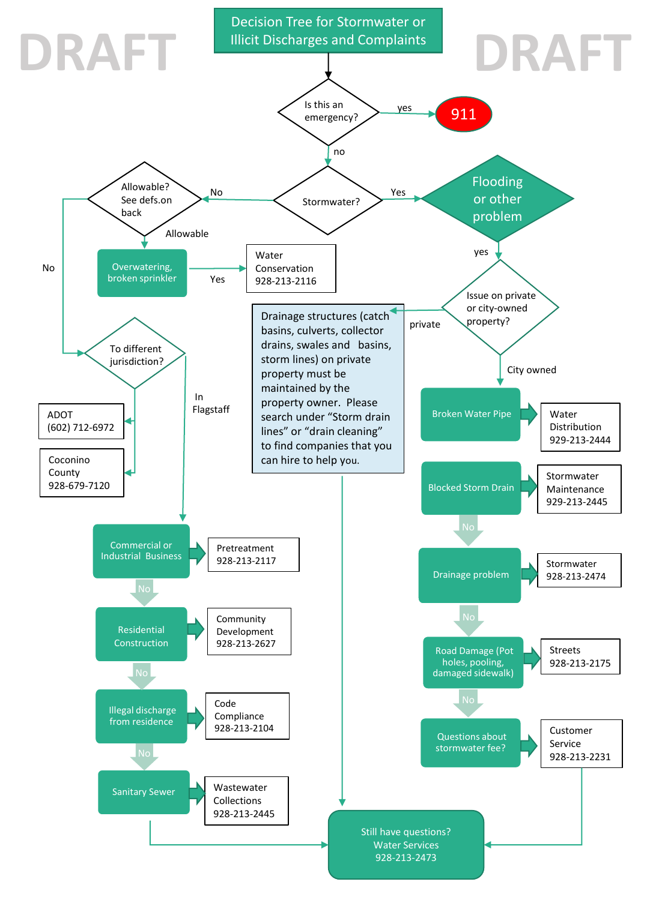